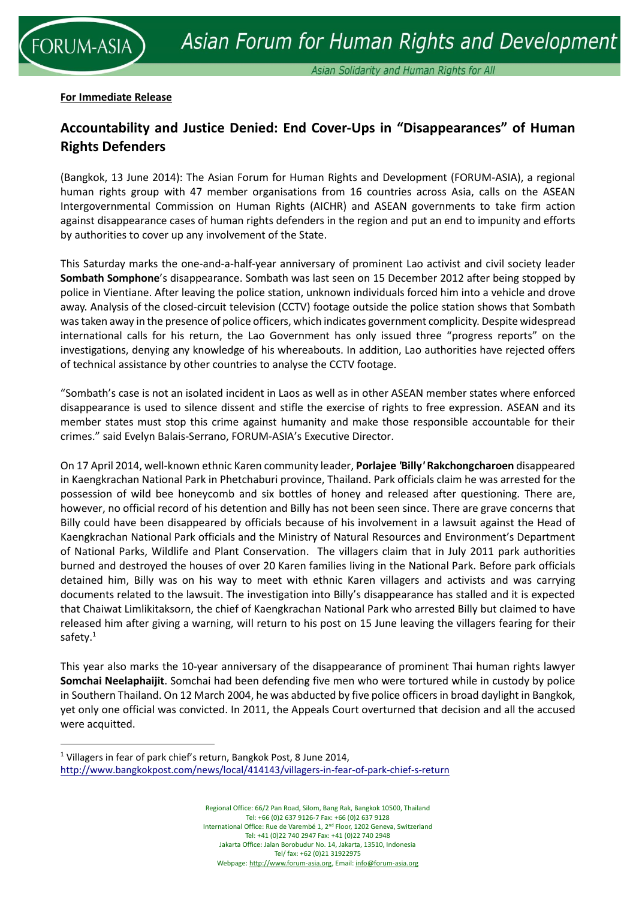## **For Immediate Release**

**RUM-ASIA** 

<u>.</u>

## **Accountability and Justice Denied: End Cover-Ups in "Disappearances" of Human Rights Defenders**

(Bangkok, 13 June 2014): The Asian Forum for Human Rights and Development (FORUM-ASIA), a regional human rights group with 47 member organisations from 16 countries across Asia, calls on the ASEAN Intergovernmental Commission on Human Rights (AICHR) and ASEAN governments to take firm action against disappearance cases of human rights defenders in the region and put an end to impunity and efforts by authorities to cover up any involvement of the State.

This Saturday marks the one-and-a-half-year anniversary of prominent Lao activist and civil society leader **Sombath Somphone**'s disappearance. Sombath was last seen on 15 December 2012 after being stopped by police in Vientiane. After leaving the police station, unknown individuals forced him into a vehicle and drove away. Analysis of the closed-circuit television (CCTV) footage outside the police station shows that Sombath was taken away in the presence of police officers, which indicates government complicity. Despite widespread international calls for his return, the Lao Government has only issued three "progress reports" on the investigations, denying any knowledge of his whereabouts. In addition, Lao authorities have rejected offers of technical assistance by other countries to analyse the CCTV footage.

"Sombath's case is not an isolated incident in Laos as well as in other ASEAN member states where enforced disappearance is used to silence dissent and stifle the exercise of rights to free expression. ASEAN and its member states must stop this crime against humanity and make those responsible accountable for their crimes." said Evelyn Balais-Serrano, FORUM-ASIA's Executive Director.

On 17 April 2014, well-known ethnic Karen community leader, **Porlajee** *'***Billy***'* **Rakchongcharoen** disappeared in Kaengkrachan National Park in Phetchaburi province, Thailand. Park officials claim he was arrested for the possession of wild bee honeycomb and six bottles of honey and released after questioning. There are, however, no official record of his detention and Billy has not been seen since. There are grave concerns that Billy could have been disappeared by officials because of his involvement in a lawsuit against the Head of Kaengkrachan National Park officials and the Ministry of Natural Resources and Environment's Department of National Parks, Wildlife and Plant Conservation. The villagers claim that in July 2011 park authorities burned and destroyed the houses of over 20 Karen families living in the National Park. Before park officials detained him, Billy was on his way to meet with ethnic Karen villagers and activists and was carrying documents related to the lawsuit. The investigation into Billy's disappearance has stalled and it is expected that Chaiwat Limlikitaksorn, the chief of Kaengkrachan National Park who arrested Billy but claimed to have released him after giving a warning, will return to his post on 15 June leaving the villagers fearing for their safety.<sup>1</sup>

This year also marks the 10-year anniversary of the disappearance of prominent Thai human rights lawyer **Somchai Neelaphaijit**. Somchai had been defending five men who were tortured while in custody by police in Southern Thailand. On 12 March 2004, he was abducted by five police officers in broad daylight in Bangkok, yet only one official was convicted. In 2011, the Appeals Court overturned that decision and all the accused were acquitted.

<sup>1</sup> Villagers in fear of park chief's return, Bangkok Post, 8 June 2014, <http://www.bangkokpost.com/news/local/414143/villagers-in-fear-of-park-chief-s-return>

> Regional Office: 66/2 Pan Road, Silom, Bang Rak, Bangkok 10500, Thailand Tel: +66 (0)2 637 9126-7 Fax: +66 (0)2 637 9128 International Office: Rue de Varembé 1, 2nd Floor, 1202 Geneva, Switzerland Tel: +41 (0)22 740 2947 Fax: +41 (0)22 740 2948 Jakarta Office: Jalan Borobudur No. 14, Jakarta, 13510, Indonesia Tel/ fax: +62 (0)21 31922975 Webpage[: http://www.forum-asia.org,](http://www.forum-asia.org/) Email[: info@forum-asia.org](mailto:info@forum-asia.org)